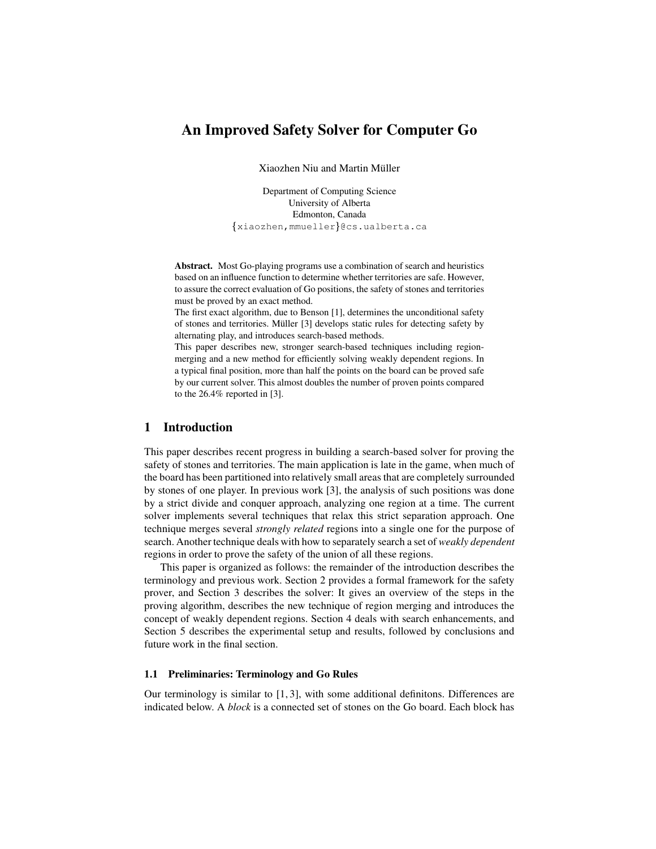# **An Improved Safety Solver for Computer Go**

Xiaozhen Niu and Martin Muller ¨

Department of Computing Science University of Alberta Edmonton, Canada xiaozhen,mmueller @cs.ualberta.ca

**Abstract.** Most Go-playing programs use a combination of search and heuristics based on an influence function to determine whether territories are safe. However, to assure the correct evaluation of Go positions, the safety of stones and territories must be proved by an exact method.

The first exact algorithm, due to Benson [1], determines the unconditional safety of stones and territories. Müller [3] develops static rules for detecting safety by alternating play, and introduces search-based methods.

This paper describes new, stronger search-based techniques including regionmerging and a new method for efficiently solving weakly dependent regions. In a typical final position, more than half the points on the board can be proved safe by our current solver. This almost doubles the number of proven points compared to the 26.4% reported in [3].

# **1 Introduction**

This paper describes recent progress in building a search-based solver for proving the safety of stones and territories. The main application is late in the game, when much of the board has been partitioned into relatively small areas that are completely surrounded by stones of one player. In previous work [3], the analysis of such positions was done by a strict divide and conquer approach, analyzing one region at a time. The current solver implements several techniques that relax this strict separation approach. One technique merges several *strongly related* regions into a single one for the purpose of search. Another technique deals with how to separately search a set of *weakly dependent* regions in order to prove the safety of the union of all these regions.

This paper is organized as follows: the remainder of the introduction describes the terminology and previous work. Section 2 provides a formal framework for the safety prover, and Section 3 describes the solver: It gives an overview of the steps in the proving algorithm, describes the new technique of region merging and introduces the concept of weakly dependent regions. Section 4 deals with search enhancements, and Section 5 describes the experimental setup and results, followed by conclusions and future work in the final section.

#### **1.1 Preliminaries: Terminology and Go Rules**

Our terminology is similar to [1, 3], with some additional definitons. Differences are indicated below. A *block* is a connected set of stones on the Go board. Each block has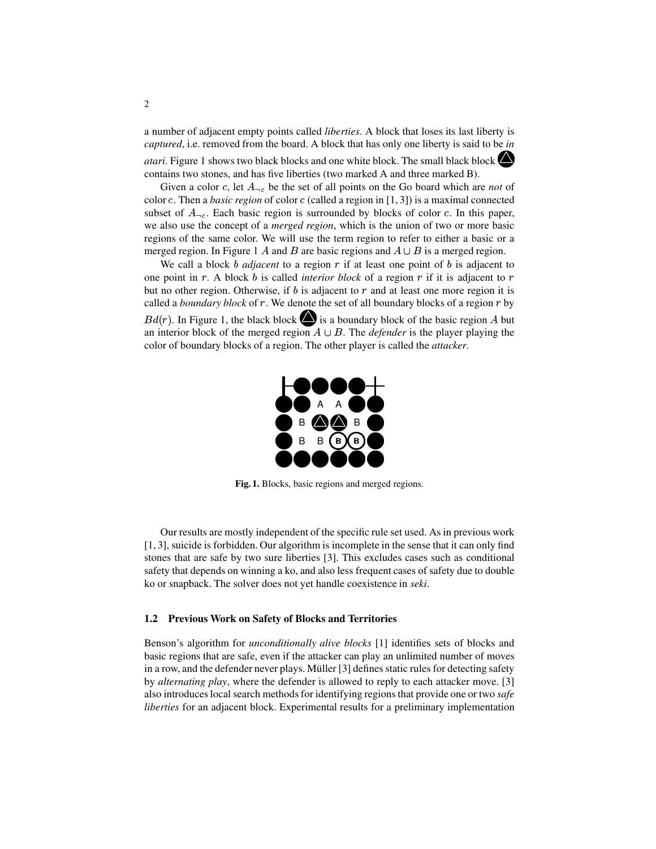a number of adjacent empty points called *liberties*. A block that loses its last liberty is *captured*, i.e. removed from the board. A block that has only one liberty is said to be *in atari*. Figure <sup>1</sup> shows two black blocks and one white block. The small black blockcontains two stones, and has five liberties (two marked A and three marked B).

Given a color c, let  $A_{\neg c}$  be the set of all points on the Go board which are *not* of color  $c$ . Then a *basic region* of color  $c$  (called a region in [1, 3]) is a maximal connected subset of  $A_{\neg c}$ . Each basic region is surrounded by blocks of color c. In this paper, we also use the concept of a *merged region*, which is the union of two or more basic regions of the same color. We will use the term region to refer to either a basic or a merged region. In Figure 1 A and B are basic regions and  $A \cup B$  is a merged region.

We call a block  $b$  *adjacent* to a region  $r$  if at least one point of  $b$  is adjacent to one point in  $r$ . A block  $b$  is called *interior block* of a region  $r$  if it is adjacent to  $r$ but no other region. Otherwise, if  $b$  is adjacent to  $r$  and at least one more region it is called a *boundary block* of  $r$ . We denote the set of all boundary blocks of a region  $r$  by  $Bd(r)$ . In Figure 1, the black block  $\bigotimes$  is a boundary block of the basic region A but an interior block of the merged region  $A \cup B$ . The *defender* is the player playing the color of boundary blocks of a region. The other player is called the *attacker*.



**Fig. 1.** Blocks, basic regions and merged regions.

Our results are mostly independent of the specific rule set used. As in previous work [1, 3], suicide is forbidden. Our algorithm is incomplete in the sense that it can only find stones that are safe by two sure liberties [3]. This excludes cases such as conditional safety that depends on winning a ko, and also less frequent cases of safety due to double ko or snapback. The solver does not yet handle coexistence in *seki*.

#### **1.2 Previous Work on Safety of Blocks and Territories**

Benson's algorithm for *unconditionally alive blocks* [1] identifies sets of blocks and basic regions that are safe, even if the attacker can play an unlimited number of moves in a row, and the defender never plays. Müller [3] defines static rules for detecting safety by *alternating play*, where the defender is allowed to reply to each attacker move. [3] also introduces local search methods for identifying regions that provide one or two *safe liberties* for an adjacent block. Experimental results for a preliminary implementation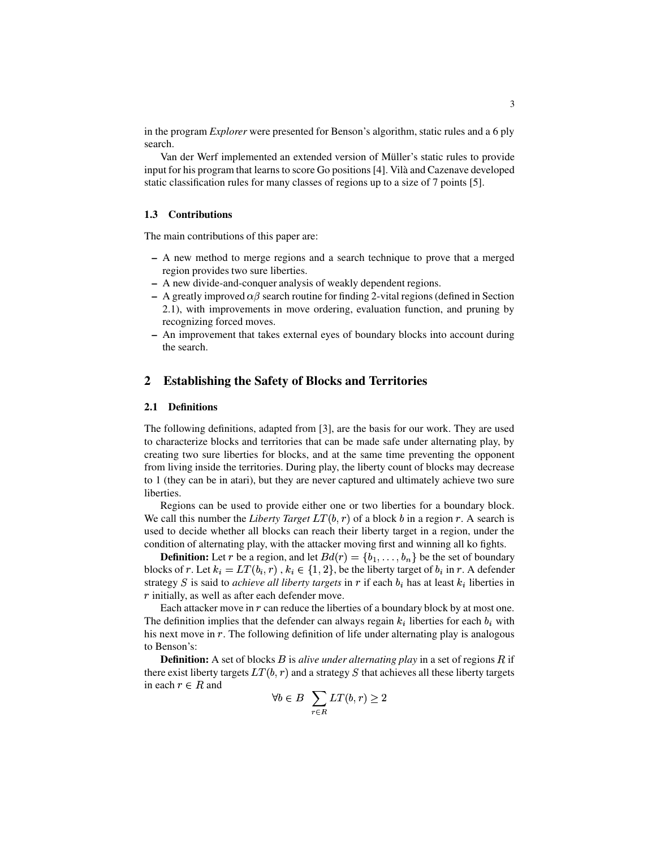in the program *Explorer* were presented for Benson's algorithm, static rules and a 6 ply search.

Van der Werf implemented an extended version of Müller's static rules to provide input for his program that learns to score Go positions [4]. Vilà and Cazenave developed static classification rules for many classes of regions up to a size of 7 points [5].

#### **1.3 Contributions**

The main contributions of this paper are:

- **–** A new method to merge regions and a search technique to prove that a merged region provides two sure liberties.
- **–** A new divide-and-conquer analysis of weakly dependent regions.
- **–** A greatly improved  $\alpha\beta$  search routine for finding 2-vital regions (defined in Section 2.1), with improvements in move ordering, evaluation function, and pruning by recognizing forced moves.
- **–** An improvement that takes external eyes of boundary blocks into account during the search.

# **2 Establishing the Safety of Blocks and Territories**

#### **2.1 Definitions**

The following definitions, adapted from [3], are the basis for our work. They are used to characterize blocks and territories that can be made safe under alternating play, by creating two sure liberties for blocks, and at the same time preventing the opponent from living inside the territories. During play, the liberty count of blocks may decrease to 1 (they can be in atari), but they are never captured and ultimately achieve two sure liberties.

Regions can be used to provide either one or two liberties for a boundary block. We call this number the *Liberty Target*  $LT(b, r)$  of a block b in a region r. A search is used to decide whether all blocks can reach their liberty target in a region, under the condition of alternating play, with the attacker moving first and winning all ko fights.

**Definition:** Let r be a region, and let  $Bd(r) = \{b_1, \ldots, b_n\}$  be the set of boundary blocks of r. Let  $k_i = LT(b_i, r)$ ,  $k_i \in \{1, 2\}$ , be the liberty target of  $b_i$  in r. A defender strategy S is said to *achieve all liberty targets* in  $r$  if each  $b_i$  has at least  $k_i$  liberties in  $r$  initially, as well as after each defender move.

Each attacker move in  $r$  can reduce the liberties of a boundary block by at most one. The definition implies that the defender can always regain  $k_i$  liberties for each  $b_i$  with his next move in  $r$ . The following definition of life under alternating play is analogous to Benson's:

**Definition:** A set of blocks *B* is *alive under alternating play* in a set of regions *R* if there exist liberty targets  $LT(b, r)$  and a strategy S that achieves all these liberty targets in each  $r \in R$  and

$$
\forall b \in B \quad \sum_{r \in R} LT(b, r) \ge 2
$$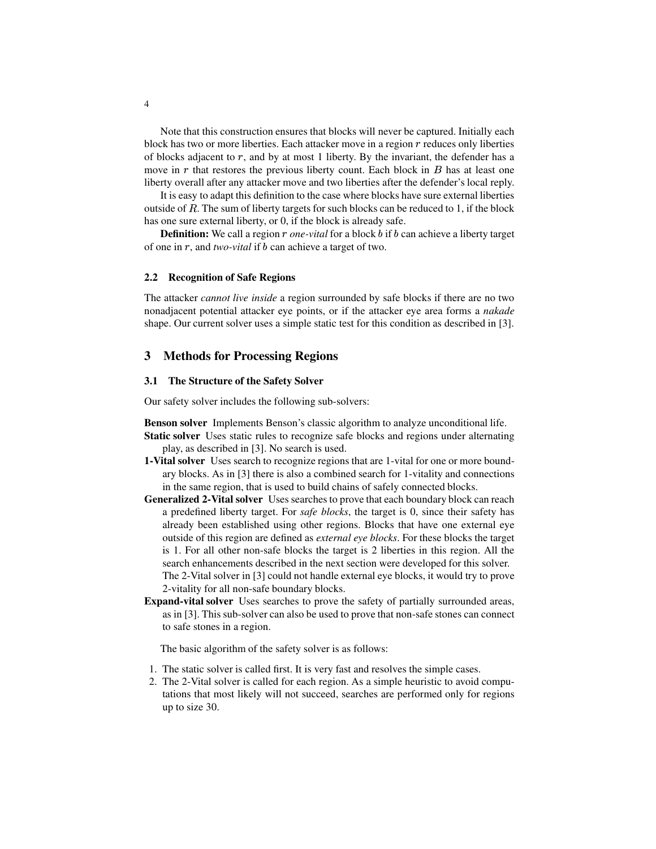Note that this construction ensures that blocks will never be captured. Initially each block has two or more liberties. Each attacker move in a region  $r$  reduces only liberties of blocks adjacent to  $r$ , and by at most 1 liberty. By the invariant, the defender has a move in  $r$  that restores the previous liberty count. Each block in  $B$  has at least one liberty overall after any attacker move and two liberties after the defender's local reply.

It is easy to adapt this definition to the case where blocks have sure external liberties outside of  $R$ . The sum of liberty targets for such blocks can be reduced to 1, if the block has one sure external liberty, or 0, if the block is already safe.

**Definition:** We call a region *r* one-vital for a block b if b can achieve a liberty target of one in r, and *two-vital* if b can achieve a target of two.

#### **2.2 Recognition of Safe Regions**

The attacker *cannot live inside* a region surrounded by safe blocks if there are no two nonadjacent potential attacker eye points, or if the attacker eye area forms a *nakade* shape. Our current solver uses a simple static test for this condition as described in [3].

#### **3 Methods for Processing Regions**

#### **3.1 The Structure of the Safety Solver**

Our safety solver includes the following sub-solvers:

- **Benson solver** Implements Benson's classic algorithm to analyze unconditional life.
- **Static solver** Uses static rules to recognize safe blocks and regions under alternating play, as described in [3]. No search is used.
- **1-Vital solver** Uses search to recognize regions that are 1-vital for one or more boundary blocks. As in [3] there is also a combined search for 1-vitality and connections in the same region, that is used to build chains of safely connected blocks.
- **Generalized 2-Vital solver** Uses searches to prove that each boundary block can reach a predefined liberty target. For *safe blocks*, the target is 0, since their safety has already been established using other regions. Blocks that have one external eye outside of this region are defined as *external eye blocks*. For these blocks the target is 1. For all other non-safe blocks the target is 2 liberties in this region. All the search enhancements described in the next section were developed for this solver. The 2-Vital solver in [3] could not handle external eye blocks, it would try to prove 2-vitality for all non-safe boundary blocks.
- **Expand-vital solver** Uses searches to prove the safety of partially surrounded areas, as in [3]. This sub-solver can also be used to prove that non-safe stones can connect to safe stones in a region.

The basic algorithm of the safety solver is as follows:

- 1. The static solver is called first. It is very fast and resolves the simple cases.
- 2. The 2-Vital solver is called for each region. As a simple heuristic to avoid computations that most likely will not succeed, searches are performed only for regions up to size 30.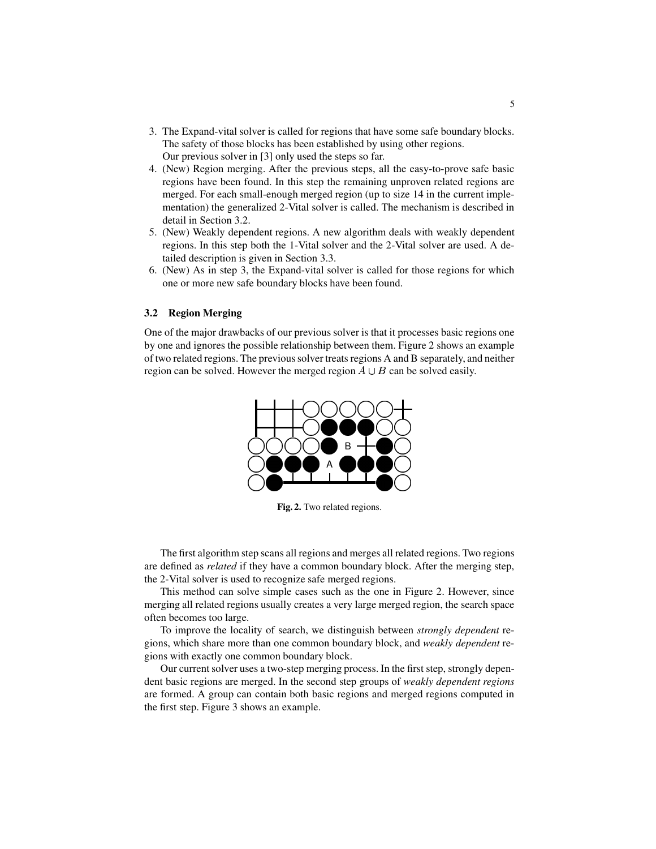- 3. The Expand-vital solver is called for regions that have some safe boundary blocks. The safety of those blocks has been established by using other regions. Our previous solver in [3] only used the steps so far.
- 4. (New) Region merging. After the previous steps, all the easy-to-prove safe basic regions have been found. In this step the remaining unproven related regions are merged. For each small-enough merged region (up to size 14 in the current implementation) the generalized 2-Vital solver is called. The mechanism is described in detail in Section 3.2.
- 5. (New) Weakly dependent regions. A new algorithm deals with weakly dependent regions. In this step both the 1-Vital solver and the 2-Vital solver are used. A detailed description is given in Section 3.3.
- 6. (New) As in step 3, the Expand-vital solver is called for those regions for which one or more new safe boundary blocks have been found.

#### **3.2 Region Merging**

One of the major drawbacks of our previous solver is that it processes basic regions one by one and ignores the possible relationship between them. Figure 2 shows an example of two related regions. The previoussolver treats regions A and B separately, and neither region can be solved. However the merged region  $A \cup B$  can be solved easily.



**Fig. 2.** Two related regions.

The first algorithm step scans all regions and merges all related regions. Two regions are defined as *related* if they have a common boundary block. After the merging step, the 2-Vital solver is used to recognize safe merged regions.

This method can solve simple cases such as the one in Figure 2. However, since merging all related regions usually creates a very large merged region, the search space often becomes too large.

To improve the locality of search, we distinguish between *strongly dependent* regions, which share more than one common boundary block, and *weakly dependent* regions with exactly one common boundary block.

Our current solver uses a two-step merging process. In the first step, strongly dependent basic regions are merged. In the second step groups of *weakly dependent regions* are formed. A group can contain both basic regions and merged regions computed in the first step. Figure 3 shows an example.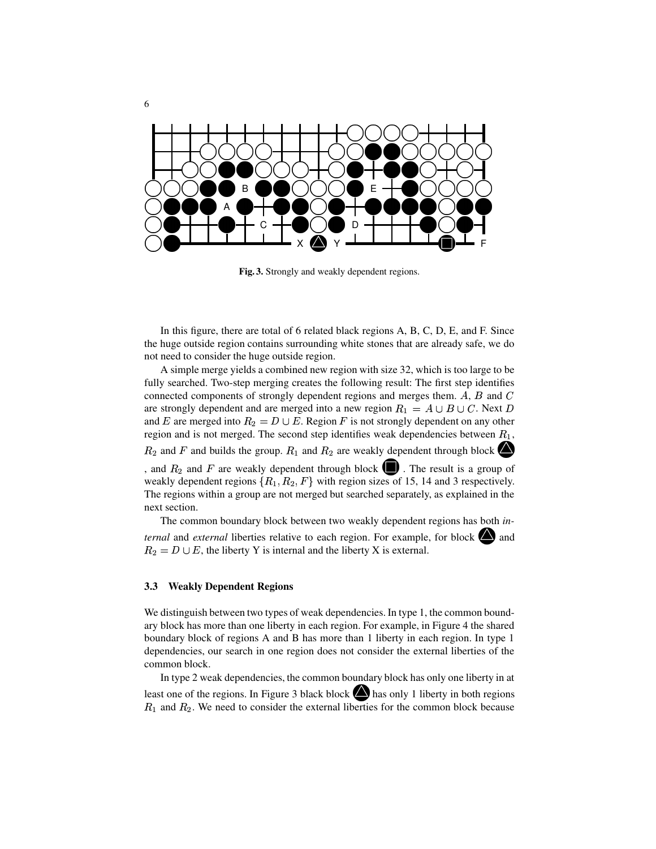

**Fig. 3.** Strongly and weakly dependent regions.

In this figure, there are total of 6 related black regions A, B, C, D, E, and F. Since the huge outside region contains surrounding white stones that are already safe, we do not need to consider the huge outside region.

A simple merge yields a combined new region with size 32, which is too large to be fully searched. Two-step merging creates the following result: The first step identifies connected components of strongly dependent regions and merges them.  $A, B$  and  $C$ are strongly dependent and are merged into a new region  $R_1 = A \cup B \cup C$ . Next D and E are merged into  $R_2 = D \cup E$ . Region F is not strongly dependent on any other region and is not merged. The second step identifies weak dependencies between  $R_1$ ,  $R_2$  and F and builds the group.  $R_1$  and  $R_2$  are weakly dependent through block , and  $R_2$  and F are weakly dependent through block  $\blacksquare$ . The result is a group of weakly dependent regions  $\{R_1, R_2, F\}$  with region sizes of 15, 14 and 3 respectively. The regions within a group are not merged but searched separately, as explained in the next section.

The common boundary block between two weakly dependent regions has both *internal* and *external* liberties relative to each region. For example, for block  $\bigcirc$  and  $R_2 = D \cup E$ , the liberty Y is internal and the liberty X is external.

#### **3.3 Weakly Dependent Regions**

We distinguish between two types of weak dependencies. In type 1, the common boundary block has more than one liberty in each region. For example, in Figure 4 the shared boundary block of regions A and B has more than 1 liberty in each region. In type 1 dependencies, our search in one region does not consider the external liberties of the common block.

In type 2 weak dependencies, the common boundary block has only one liberty in at least one of the regions. In Figure 3 black block  $\bigotimes$  has only 1 liberty in both regions  $R_1$  and  $R_2$ . We need to consider the external liberties for the common block because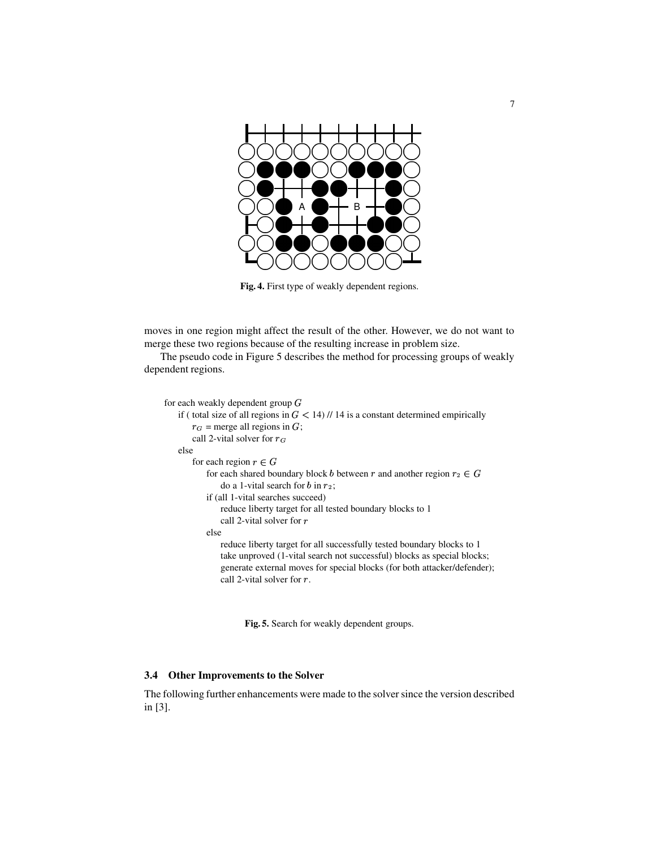

**Fig. 4.** First type of weakly dependent regions.

moves in one region might affect the result of the other. However, we do not want to merge these two regions because of the resulting increase in problem size.

The pseudo code in Figure 5 describes the method for processing groups of weakly dependent regions.

```
for each weakly dependent group Gif ( total size of all regions in G < 14) // 14 is a constant determined empirically
r_G = merge all regions in G;
call 2-vital solver for r_Gelse
for each region r \in Gfor each shared boundary block b between r and another region r_2 \in Gdo a 1-vital search for b in r_2;
   if (all 1-vital searches succeed)
       reduce liberty target for all tested boundary blocks to 1
       call 2-vital solver for relse
       reduce liberty target for all successfully tested boundary blocks to 1
       take unproved (1-vital search not successful) blocks as special blocks;
       generate external moves for special blocks (for both attacker/defender);
       call 2-vital solver for r.
```
**Fig. 5.** Search for weakly dependent groups.

#### **3.4 Other Improvements to the Solver**

The following further enhancements were made to the solver since the version described in [3].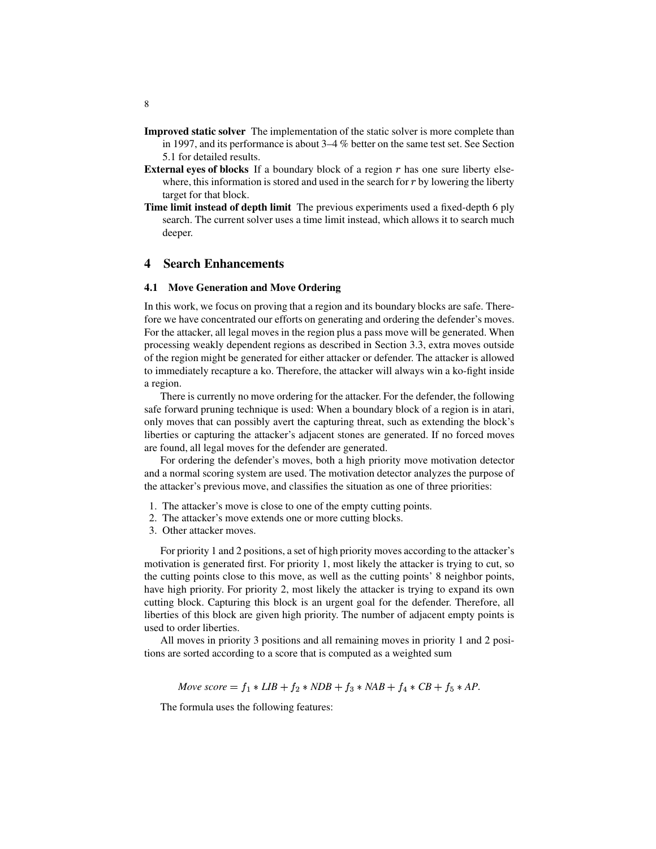- **Improved static solver** The implementation of the static solver is more complete than in 1997, and its performance is about 3–4 % better on the same test set. See Section 5.1 for detailed results.
- **External eyes of blocks** If a boundary block of a region  $r$  has one sure liberty elsewhere, this information is stored and used in the search for  $r$  by lowering the liberty target for that block.
- **Time limit instead of depth limit** The previous experiments used a fixed-depth 6 ply search. The current solver uses a time limit instead, which allows it to search much deeper.

#### **4 Search Enhancements**

#### **4.1 Move Generation and Move Ordering**

In this work, we focus on proving that a region and its boundary blocks are safe. Therefore we have concentrated our efforts on generating and ordering the defender's moves. For the attacker, all legal moves in the region plus a pass move will be generated. When processing weakly dependent regions as described in Section 3.3, extra moves outside of the region might be generated for either attacker or defender. The attacker is allowed to immediately recapture a ko. Therefore, the attacker will always win a ko-fight inside a region.

There is currently no move ordering for the attacker. For the defender, the following safe forward pruning technique is used: When a boundary block of a region is in atari, only moves that can possibly avert the capturing threat, such as extending the block's liberties or capturing the attacker's adjacent stones are generated. If no forced moves are found, all legal moves for the defender are generated.

For ordering the defender's moves, both a high priority move motivation detector and a normal scoring system are used. The motivation detector analyzes the purpose of the attacker's previous move, and classifies the situation as one of three priorities:

- 1. The attacker's move is close to one of the empty cutting points.
- 2. The attacker's move extends one or more cutting blocks.
- 3. Other attacker moves.

For priority 1 and 2 positions, a set of high priority moves according to the attacker's motivation is generated first. For priority 1, most likely the attacker is trying to cut, so the cutting points close to this move, as well as the cutting points' 8 neighbor points, have high priority. For priority 2, most likely the attacker is trying to expand its own cutting block. Capturing this block is an urgent goal for the defender. Therefore, all liberties of this block are given high priority. The number of adjacent empty points is used to order liberties.

All moves in priority 3 positions and all remaining moves in priority 1 and 2 positions are sorted according to a score that is computed as a weighted sum

*Move*  $score = f_1 * LIB + f_2 * NDB + f_3 * NAB + f_4 * CB + f_5 * AP$ .

The formula uses the following features: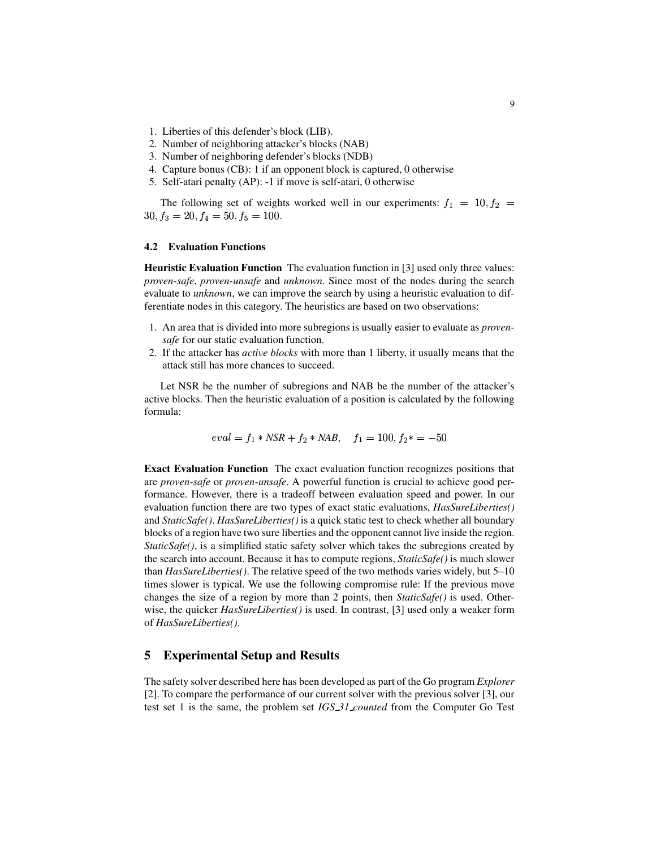- 1. Liberties of this defender's block (LIB).
- 2. Number of neighboring attacker's blocks (NAB)
- 3. Number of neighboring defender's blocks (NDB)
- 4. Capture bonus (CB): 1 if an opponent block is captured, 0 otherwise
- 5. Self-atari penalty (AP): -1 if move is self-atari, 0 otherwise

The following set of weights worked well in our experiments:  $f_1 = 10, f_2 =$  $30, f_3 = 20, f_4 = 50, f_5 = 100.$ 

# **4.2 Evaluation Functions**

**Heuristic Evaluation Function** The evaluation function in [3] used only three values: *proven-safe*, *proven-unsafe* and *unknown*. Since most of the nodes during the search evaluate to *unknown*, we can improve the search by using a heuristic evaluation to differentiate nodes in this category. The heuristics are based on two observations:

- 1. An area that is divided into more subregions is usually easier to evaluate as *provensafe* for our static evaluation function.
- 2. If the attacker has *active blocks* with more than 1 liberty, it usually means that the attack still has more chances to succeed.

Let NSR be the number of subregions and NAB be the number of the attacker's active blocks. Then the heuristic evaluation of a position is calculated by the following formula:

$$
eval = f_1 * NSR + f_2 * NAB, \quad f_1 = 100, f_2 * = -50
$$

**Exact Evaluation Function** The exact evaluation function recognizes positions that are *proven-safe* or *proven-unsafe*. A powerful function is crucial to achieve good performance. However, there is a tradeoff between evaluation speed and power. In our evaluation function there are two types of exact static evaluations, *HasSureLiberties()* and *StaticSafe()*. *HasSureLiberties()* is a quick static test to check whether all boundary blocks of a region have two sure liberties and the opponent cannot live inside the region. *StaticSafe()*, is a simplified static safety solver which takes the subregions created by the search into account. Because it has to compute regions, *StaticSafe()* is much slower than *HasSureLiberties()*. The relative speed of the two methods varies widely, but 5–10 times slower is typical. We use the following compromise rule: If the previous move changes the size of a region by more than 2 points, then *StaticSafe()* is used. Otherwise, the quicker *HasSureLiberties()* is used. In contrast, [3] used only a weaker form of *HasSureLiberties()*.

## **5 Experimental Setup and Results**

The safety solver described here has been developed as part of the Go program *Explorer* [2]. To compare the performance of our current solver with the previous solver [3], our test set 1 is the same, the problem set *IGS 31 counted* from the Computer Go Test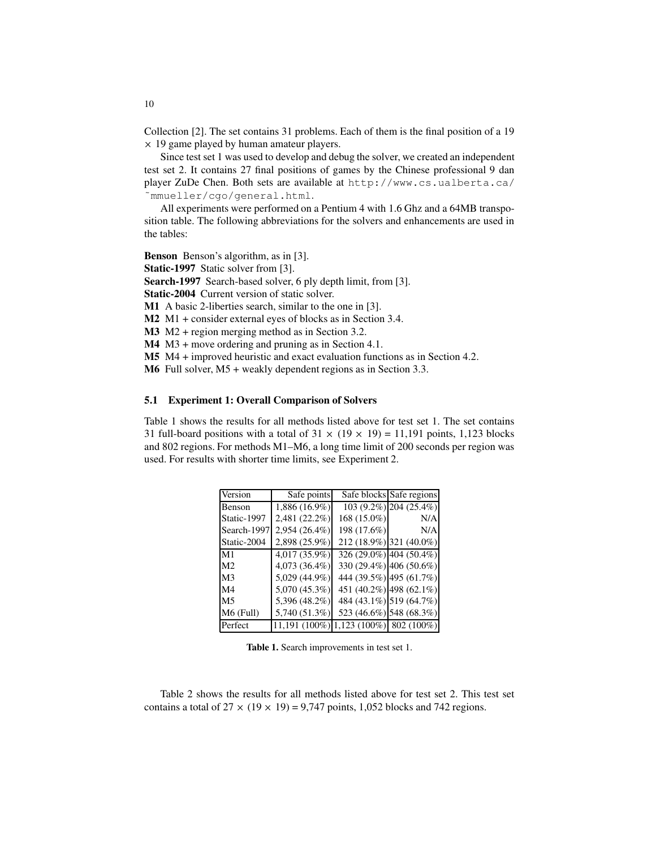Collection [2]. The set contains 31 problems. Each of them is the final position of a 19  $\times$  19 game played by human amateur players.

Since test set 1 was used to develop and debug the solver, we created an independent test set 2. It contains 27 final positions of games by the Chinese professional 9 dan player ZuDe Chen. Both sets are available at http://www.cs.ualberta.ca/ ˜mmueller/cgo/general.html.

All experiments were performed on a Pentium 4 with 1.6 Ghz and a 64MB transposition table. The following abbreviations for the solvers and enhancements are used in the tables:

**Benson** Benson's algorithm, as in [3].

**Static-1997** Static solver from [3].

**Search-1997** Search-based solver, 6 ply depth limit, from [3].

**Static-2004** Current version of static solver.

**M1** A basic 2-liberties search, similar to the one in [3].

**M2** M1 + consider external eyes of blocks as in Section 3.4.

**M3** M2 + region merging method as in Section 3.2.

**M4** M3 + move ordering and pruning as in Section 4.1.

**M5** M4 + improved heuristic and exact evaluation functions as in Section 4.2.

**M6** Full solver, M5 + weakly dependent regions as in Section 3.3.

#### **5.1 Experiment 1: Overall Comparison of Solvers**

Table 1 shows the results for all methods listed above for test set 1. The set contains 31 full-board positions with a total of  $31 \times (19 \times 19) = 11,191$  points, 1,123 blocks and 802 regions. For methods M1–M6, a long time limit of 200 seconds per region was used. For results with shorter time limits, see Experiment 2.

| Version        | Safe points     |                           | Safe blocks Safe regions |
|----------------|-----------------|---------------------------|--------------------------|
| Benson         | $1,886(16.9\%)$ |                           | 103 (9.2%) 204 (25.4%)   |
| Static-1997    | 2,481 (22.2%)   | 168 (15.0%)               | N/A                      |
| Search-1997    | 2,954 (26.4%)   | 198 (17.6%)               | N/A                      |
| Static-2004    | 2,898 (25.9%)   |                           | 212 (18.9%) 321 (40.0%)  |
| M1             | 4,017 (35.9%)   |                           | 326 (29.0%) 404 (50.4%)  |
| M <sub>2</sub> | 4,073 (36.4%)   |                           | 330 (29.4%) 406 (50.6%)  |
| M <sub>3</sub> | 5,029 (44.9%)   |                           | 444 (39.5%) 495 (61.7%)  |
| M <sub>4</sub> | 5,070 (45.3%)   |                           | 451 (40.2%) 498 (62.1%)  |
| M <sub>5</sub> | 5,396 (48.2%)   |                           | 484 (43.1%) 519 (64.7%)  |
| $M6$ (Full)    | 5,740 (51.3%)   |                           | 523 (46.6%) 548 (68.3%)  |
| Perfect        | 11,191 (100%)   | $1,123$ (100%) 802 (100%) |                          |

**Table 1.** Search improvements in test set 1.

Table 2 shows the results for all methods listed above for test set 2. This test set contains a total of  $27 \times (19 \times 19) = 9,747$  points, 1,052 blocks and 742 regions.

10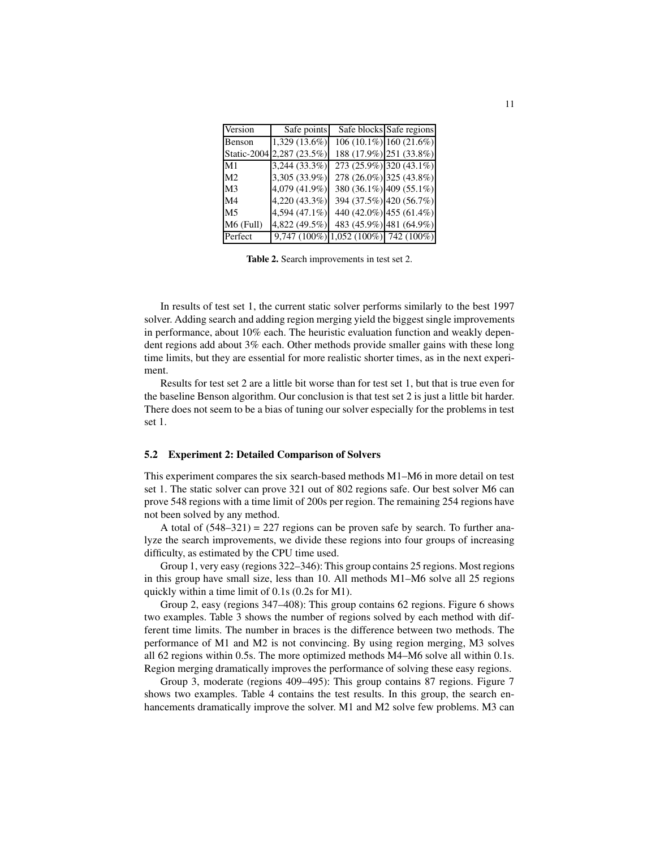| Version        | Safe points               |                                      | Safe blocks Safe regions  |
|----------------|---------------------------|--------------------------------------|---------------------------|
| Benson         | $1,329(13.6\%)$           |                                      | $106(10.1\%)$ 160 (21.6%) |
|                | Static-2004 2,287 (23.5%) |                                      | 188 (17.9%) 251 (33.8%)   |
| M1             | 3,244 (33.3%)             |                                      | 273 (25.9%) 320 (43.1%)   |
| M <sub>2</sub> | 3,305 (33.9%)             |                                      | 278 (26.0%) 325 (43.8%)   |
| M <sub>3</sub> | 4,079 (41.9%)             |                                      | 380 (36.1%) 409 (55.1%)   |
| M <sub>4</sub> | 4,220 (43.3%)             |                                      | 394 (37.5%) 420 (56.7%)   |
| M5             | 4,594 (47.1%)             |                                      | 440 (42.0%) 455 (61.4%)   |
| M6 (Full)      | 4,822 (49.5%)             |                                      | 483 (45.9%) 481 (64.9%)   |
| Perfect        |                           | 9,747 (100%) 1,052 (100%) 742 (100%) |                           |

**Table 2.** Search improvements in test set 2.

In results of test set 1, the current static solver performs similarly to the best 1997 solver. Adding search and adding region merging yield the biggest single improvements in performance, about 10% each. The heuristic evaluation function and weakly dependent regions add about 3% each. Other methods provide smaller gains with these long time limits, but they are essential for more realistic shorter times, as in the next experiment.

Results for test set 2 are a little bit worse than for test set 1, but that is true even for the baseline Benson algorithm. Our conclusion is that test set 2 is just a little bit harder. There does not seem to be a bias of tuning our solver especially for the problems in test set 1.

#### **5.2 Experiment 2: Detailed Comparison of Solvers**

This experiment compares the six search-based methods M1–M6 in more detail on test set 1. The static solver can prove 321 out of 802 regions safe. Our best solver M6 can prove 548 regions with a time limit of 200s per region. The remaining 254 regions have not been solved by any method.

A total of  $(548-321) = 227$  regions can be proven safe by search. To further analyze the search improvements, we divide these regions into four groups of increasing difficulty, as estimated by the CPU time used.

Group 1, very easy (regions 322–346): This group contains 25 regions. Most regions in this group have small size, less than 10. All methods M1–M6 solve all 25 regions quickly within a time limit of 0.1s (0.2s for M1).

Group 2, easy (regions 347–408): This group contains 62 regions. Figure 6 shows two examples. Table 3 shows the number of regions solved by each method with different time limits. The number in braces is the difference between two methods. The performance of M1 and M2 is not convincing. By using region merging, M3 solves all 62 regions within 0.5s. The more optimized methods M4–M6 solve all within 0.1s. Region merging dramatically improves the performance of solving these easy regions.

Group 3, moderate (regions 409–495): This group contains 87 regions. Figure 7 shows two examples. Table 4 contains the test results. In this group, the search enhancements dramatically improve the solver. M1 and M2 solve few problems. M3 can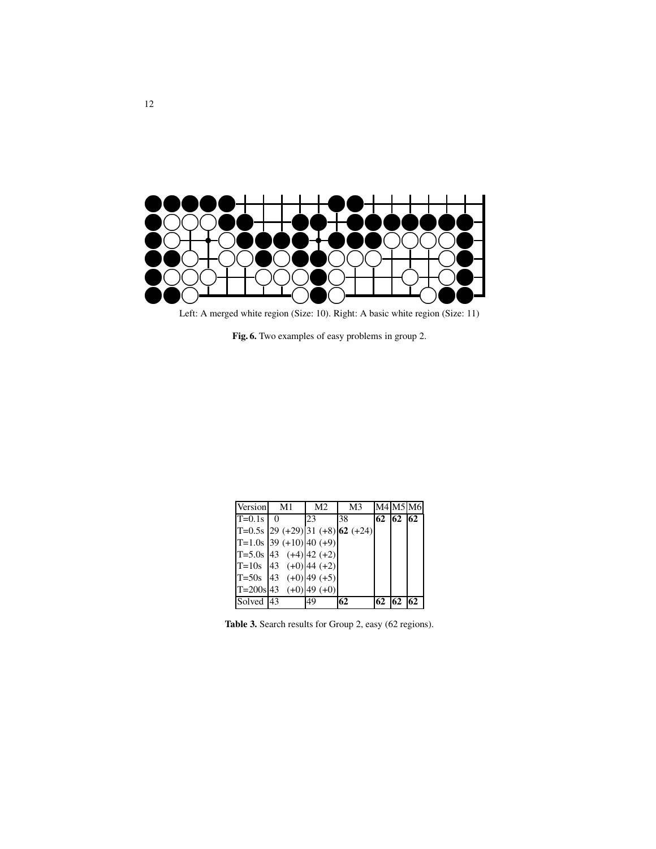

Left: A merged white region (Size: 10). Right: A basic white region (Size: 11)

**Fig. 6.** Two examples of easy problems in group 2.

| Version    | M1                                 | M <sub>2</sub> | M3 |    |              | M4 M5 M6 |
|------------|------------------------------------|----------------|----|----|--------------|----------|
| $T=0.1s$ 0 |                                    | 23             | 38 |    | 62   62   62 |          |
|            | $T=0.5s$ 29 (+29) 31 (+8) 62 (+24) |                |    |    |              |          |
|            | $T=1.0s$ 39 (+10) 40 (+9)          |                |    |    |              |          |
|            | $ T=5.0s 43$ (+4) 42 (+2)          |                |    |    |              |          |
|            | $ T=10s$ 43 (+0) 44 (+2)           |                |    |    |              |          |
|            | $ T=50s$ 43 (+0) 49 (+5)           |                |    |    |              |          |
|            | $T=200s$ 43 (+0) 49 (+0)           |                |    |    |              |          |
| Solved 43  |                                    | 49             | 62 | 62 | 62           | 62       |

**Table 3.** Search results for Group 2, easy (62 regions).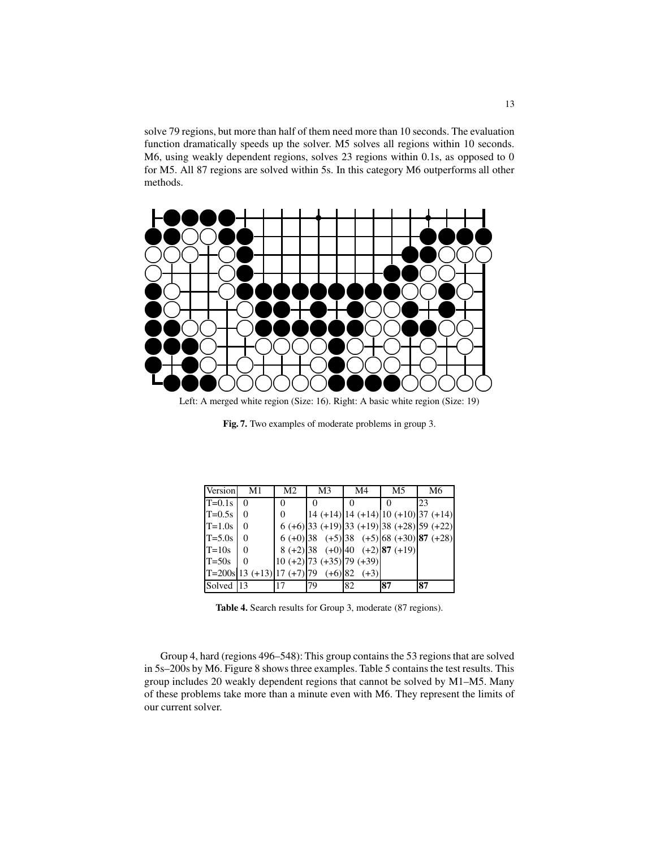solve 79 regions, but more than half of them need more than 10 seconds. The evaluation function dramatically speeds up the solver. M5 solves all regions within 10 seconds. M6, using weakly dependent regions, solves 23 regions within 0.1s, as opposed to 0 for M5. All 87 regions are solved within 5s. In this category M6 outperforms all other methods.



Left: A merged white region (Size: 16). Right: A basic white region (Size: 19)

**Fig. 7.** Two examples of moderate problems in group 3.

| Version   | M1       | M <sub>2</sub> | M <sub>3</sub> | M4                                      | M5                                                 | M6 |
|-----------|----------|----------------|----------------|-----------------------------------------|----------------------------------------------------|----|
| $T=0.1s$  | $\Omega$ | $\Omega$       |                | 0                                       |                                                    | 23 |
| $T=0.5s$  | $\theta$ | 0              |                |                                         | $14 (+14) 14 (+14) 10 (+10) 37 (+14)$              |    |
| $T=1.0s$  | $\theta$ |                |                |                                         | $6 (+6)$ 33 (+19) 33 (+19) 38 (+28) 59 (+22)       |    |
| $T=5.0s$  | $\theta$ |                |                |                                         | $6 (+0)$ 38 $(+5)$ 38 $(+5)$ 68 $(+30)$ 87 $(+28)$ |    |
| $T=10s$   | $\theta$ |                |                |                                         | $8 (+2)  38 (+0)  40 (+2)  87 (+19)$               |    |
| $T = 50s$ | $\Omega$ |                |                | $10 (+2) 73 (+35) 79 (+39)$             |                                                    |    |
|           |          |                |                | $ T=200s 13(+13) 17(+7) 79(+6) 82(+3) $ |                                                    |    |
| Solved 13 |          | 17             | 79             | 82                                      | 87                                                 | 87 |

**Table 4.** Search results for Group 3, moderate (87 regions).

Group 4, hard (regions 496–548): This group contains the 53 regions that are solved in 5s–200s by M6. Figure 8 shows three examples. Table 5 contains the test results. This group includes 20 weakly dependent regions that cannot be solved by M1–M5. Many of these problems take more than a minute even with M6. They represent the limits of our current solver.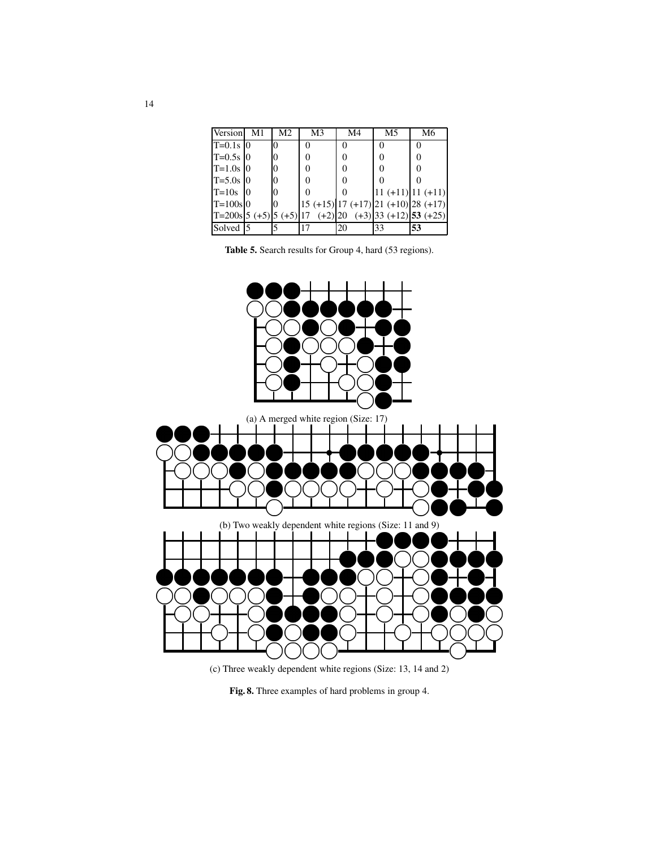| Version                    | -M1 | M <sub>2</sub> | M <sub>3</sub> | M4            | M <sub>5</sub> | M6                                            |
|----------------------------|-----|----------------|----------------|---------------|----------------|-----------------------------------------------|
| $T=0.1s$ 0                 |     | $\Omega$       | 0              | $\mathcal{L}$ |                |                                               |
| $T = 0.5s$ 0               |     | Ю              |                | 0             |                |                                               |
| $T = 1.0s$ 0               |     | $\theta$       |                | 0             |                |                                               |
| $T = 5.0s$ 0               |     | $\theta$       |                | 0             |                |                                               |
| $T=10s$                    | 10  | $\theta$       |                | 0             |                | $11 (+11) 11 (+11)$                           |
| $T = 100s$ 0               |     | Ю              |                |               |                | $15 (+15)   17 (+17)   21 (+10)   28 (+17)  $ |
| $ T=200s 5 (+5) 5 (+5) 17$ |     |                |                |               |                | $(+2)$  20 $(+3)$  33 $(+12)$  53 $(+25)$     |
| Solved 5                   |     |                | 17             | 20            | 33             | 53                                            |

| <b>Table 5.</b> Search results for Group 4, hard (53 regions). |  |  |
|----------------------------------------------------------------|--|--|
|----------------------------------------------------------------|--|--|



(c) Three weakly dependent white regions (Size: 13, 14 and 2)

**Fig. 8.** Three examples of hard problems in group 4.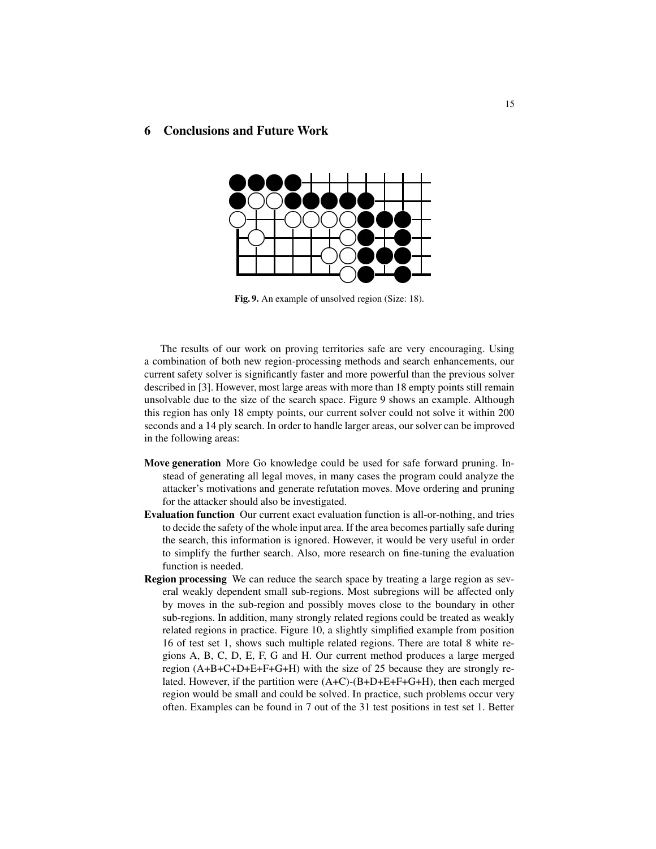# **6 Conclusions and Future Work**



**Fig. 9.** An example of unsolved region (Size: 18).

The results of our work on proving territories safe are very encouraging. Using a combination of both new region-processing methods and search enhancements, our current safety solver is significantly faster and more powerful than the previous solver described in [3]. However, most large areas with more than 18 empty points still remain unsolvable due to the size of the search space. Figure 9 shows an example. Although this region has only 18 empty points, our current solver could not solve it within 200 seconds and a 14 ply search. In order to handle larger areas, our solver can be improved in the following areas:

- **Move generation** More Go knowledge could be used for safe forward pruning. Instead of generating all legal moves, in many cases the program could analyze the attacker's motivations and generate refutation moves. Move ordering and pruning for the attacker should also be investigated.
- **Evaluation function** Our current exact evaluation function is all-or-nothing, and tries to decide the safety of the whole input area. If the area becomes partially safe during the search, this information is ignored. However, it would be very useful in order to simplify the further search. Also, more research on fine-tuning the evaluation function is needed.
- **Region processing** We can reduce the search space by treating a large region as several weakly dependent small sub-regions. Most subregions will be affected only by moves in the sub-region and possibly moves close to the boundary in other sub-regions. In addition, many strongly related regions could be treated as weakly related regions in practice. Figure 10, a slightly simplified example from position 16 of test set 1, shows such multiple related regions. There are total 8 white regions A, B, C, D, E, F, G and H. Our current method produces a large merged region (A+B+C+D+E+F+G+H) with the size of 25 because they are strongly related. However, if the partition were  $(A+C)-(B+D+E+F+G+H)$ , then each merged region would be small and could be solved. In practice, such problems occur very often. Examples can be found in 7 out of the 31 test positions in test set 1. Better